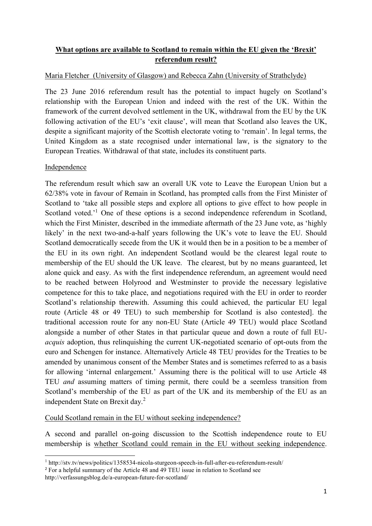## **What options are available to Scotland to remain within the EU given the 'Brexit' referendum result?**

## Maria Fletcher (University of Glasgow) and Rebecca Zahn (University of Strathclyde)

The 23 June 2016 referendum result has the potential to impact hugely on Scotland's relationship with the European Union and indeed with the rest of the UK. Within the framework of the current devolved settlement in the UK, withdrawal from the EU by the UK following activation of the EU's 'exit clause', will mean that Scotland also leaves the UK, despite a significant majority of the Scottish electorate voting to 'remain'. In legal terms, the United Kingdom as a state recognised under international law, is the signatory to the European Treaties. Withdrawal of that state, includes its constituent parts.

## Independence

The referendum result which saw an overall UK vote to Leave the European Union but a 62/38% vote in favour of Remain in Scotland, has prompted calls from the First Minister of Scotland to 'take all possible steps and explore all options to give effect to how people in Scotland voted.<sup>'1</sup> One of these options is a second independence referendum in Scotland, which the First Minister, described in the immediate aftermath of the 23 June vote, as 'highly likely' in the next two-and-a-half years following the UK's vote to leave the EU. Should Scotland democratically secede from the UK it would then be in a position to be a member of the EU in its own right. An independent Scotland would be the clearest legal route to membership of the EU should the UK leave. The clearest, but by no means guaranteed, let alone quick and easy. As with the first independence referendum, an agreement would need to be reached between Holyrood and Westminster to provide the necessary legislative competence for this to take place, and negotiations required with the EU in order to reorder Scotland's relationship therewith. Assuming this could achieved, the particular EU legal route (Article 48 or 49 TEU) to such membership for Scotland is also contested]. the traditional accession route for any non-EU State (Article 49 TEU) would place Scotland alongside a number of other States in that particular queue and down a route of full EU*acquis* adoption, thus relinquishing the current UK-negotiated scenario of opt-outs from the euro and Schengen for instance. Alternatively Article 48 TEU provides for the Treaties to be amended by unanimous consent of the Member States and is sometimes referred to as a basis for allowing 'internal enlargement.' Assuming there is the political will to use Article 48 TEU *and* assuming matters of timing permit, there could be a seemless transition from Scotland's membership of the EU as part of the UK and its membership of the EU as an independent State on Brexit day. 2

Could Scotland remain in the EU without seeking independence?

A second and parallel on-going discussion to the Scottish independence route to EU membership is whether Scotland could remain in the EU without seeking independence.

**<sup>.</sup>** <sup>1</sup> http://stv.tv/news/politics/1358534-nicola-sturgeon-speech-in-full-after-eu-referendum-result/

<sup>&</sup>lt;sup>2</sup> For a helpful summary of the Article 48 and 49 TEU issue in relation to Scotland see

http://verfassungsblog.de/a-european-future-for-scotland/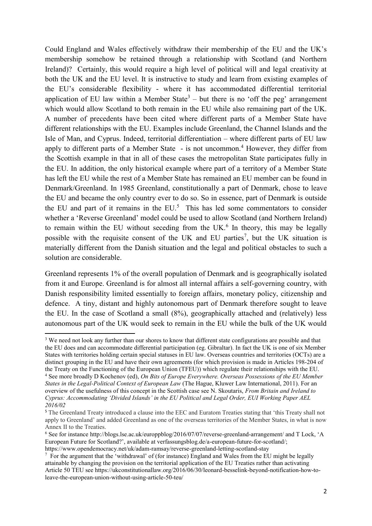Could England and Wales effectively withdraw their membership of the EU and the UK's membership somehow be retained through a relationship with Scotland (and Northern Ireland)? Certainly, this would require a high level of political will and legal creativity at both the UK and the EU level. It is instructive to study and learn from existing examples of the EU's considerable flexibility - where it has accommodated differential territorial application of EU law within a Member State<sup>3</sup> – but there is no 'off the peg' arrangement which would allow Scotland to both remain in the EU while also remaining part of the UK. A number of precedents have been cited where different parts of a Member State have different relationships with the EU. Examples include Greenland, the Channel Islands and the Isle of Man, and Cyprus. Indeed, territorial differentiation – where different parts of EU law apply to different parts of a Member State - is not uncommon.<sup>4</sup> However, they differ from the Scottish example in that in all of these cases the metropolitan State participates fully in the EU. In addition, the only historical example where part of a territory of a Member State has left the EU while the rest of a Member State has remained an EU member can be found in Denmark/Greenland. In 1985 Greenland, constitutionally a part of Denmark, chose to leave the EU and became the only country ever to do so. So in essence, part of Denmark is outside the EU and part of it remains in the  $EU$ <sup>5</sup>. This has led some commentators to consider whether a 'Reverse Greenland' model could be used to allow Scotland (and Northern Ireland) to remain within the EU without seceding from the UK. $<sup>6</sup>$  In theory, this may be legally</sup> possible with the requisite consent of the UK and EU parties<sup>7</sup>, but the UK situation is materially different from the Danish situation and the legal and political obstacles to such a solution are considerable.

Greenland represents 1% of the overall population of Denmark and is geographically isolated from it and Europe. Greenland is for almost all internal affairs a self-governing country, with Danish responsibility limited essentially to foreign affairs, monetary policy, citizenship and defence. A tiny, distant and highly autonomous part of Denmark therefore sought to leave the EU. In the case of Scotland a small (8%), geographically attached and (relatively) less autonomous part of the UK would seek to remain in the EU while the bulk of the UK would

**<sup>.</sup>** <sup>3</sup> We need not look any further than our shores to know that different state configurations are possible and that the EU does and can accommodate differential participation (eg. Gibraltar). In fact the UK is one of six Member States with territories holding certain special statuses in EU law. Overseas countries and territories (OCTs) are a distinct grouping in the EU and have their own agreements (for which provision is made in Articles 198-204 of the Treaty on the Functioning of the European Union (TFEU)) which regulate their relationships with the EU. <sup>4</sup> See more broadly D Kochenov (ed), *On Bits of Europe Everywhere. Overseas Possessions of the EU Member States in the Legal-Political Context of European Law* (The Hague, Kluwer Law International, 2011). For an overview of the usefulness of this concept in the Scottish case see N. Skoutaris, *From Britain and Ireland to Cyprus: Accommodating 'Divided Islands' in the EU Political and Legal Order, EUI Working Paper AEL 2016/02*

<sup>5</sup> Th[e Greenland Treaty](http://eu.nanoq.gl/Emner/EuGl/~/media/419EF30F356645048639049D197273D3.ashx) introduced a clause into the EEC and Euratom Treaties stating that 'this Treaty shall not apply to Greenland' and added Greenland as one of the overseas territories of the Member States, in what is now Annex II to the Treaties.

<sup>6</sup> See for instance<http://blogs.lse.ac.uk/europpblog/2016/07/07/reverse-greenland-arrangement/> and T Lock, 'A European Future for Scotland?', available at verfassungsblog.de/a-european-future-for-scotland/; https://www.opendemocracy.net/uk/adam-ramsay/reverse-greenland-letting-scotland-stay

 $\frac{7}{10}$  For the argument that the 'withdrawal' of (for instance) England and Wales from the EU might be legally attainable by changing the provision on the territorial application of the EU Treaties rather than activating Article 50 TEU see https://ukconstitutionallaw.org/2016/06/30/leonard-besselink-beyond-notification-how-toleave-the-european-union-without-using-article-50-teu/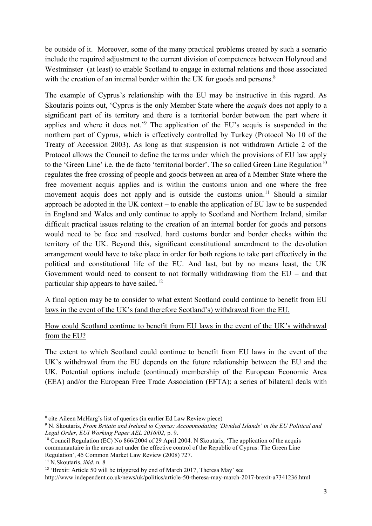be outside of it. Moreover, some of the many practical problems created by such a scenario include the required adjustment to the current division of competences between Holyrood and Westminster (at least) to enable Scotland to engage in external relations and those associated with the creation of an internal border within the UK for goods and persons.<sup>8</sup>

The example of Cyprus's relationship with the EU may be instructive in this regard. As Skoutaris points out, 'Cyprus is the only Member State where the *acquis* does not apply to a significant part of its territory and there is a territorial border between the part where it applies and where it does not.'<sup>9</sup> The application of the EU's acquis is suspended in the northern part of Cyprus, which is effectively controlled by Turkey (Protocol No 10 of the Treaty of Accession 2003). As long as that suspension is not withdrawn Article 2 of the Protocol allows the Council to define the terms under which the provisions of EU law apply to the 'Green Line' i.e. the de facto 'territorial border'. The so called Green Line Regulation<sup>10</sup> regulates the free crossing of people and goods between an area of a Member State where the free movement acquis applies and is within the customs union and one where the free movement acquis does not apply and is outside the customs union.<sup>11</sup> Should a similar approach be adopted in the UK context – to enable the application of EU law to be suspended in England and Wales and only continue to apply to Scotland and Northern Ireland, similar difficult practical issues relating to the creation of an internal border for goods and persons would need to be face and resolved. hard customs border and border checks within the territory of the UK. Beyond this, significant constitutional amendment to the devolution arrangement would have to take place in order for both regions to take part effectively in the political and constitutional life of the EU. And last, but by no means least, the UK Government would need to consent to not formally withdrawing from the EU – and that particular ship appears to have sailed.<sup>12</sup>

A final option may be to consider to what extent Scotland could continue to benefit from EU laws in the event of the UK's (and therefore Scotland's) withdrawal from the EU.

How could Scotland continue to benefit from EU laws in the event of the UK's withdrawal from the EU?

The extent to which Scotland could continue to benefit from EU laws in the event of the UK's withdrawal from the EU depends on the future relationship between the EU and the UK. Potential options include (continued) membership of the European Economic Area (EEA) and/or the European Free Trade Association (EFTA); a series of bilateral deals with

**.** 

<sup>8</sup> cite Aileen McHarg's list of queries (in earlier Ed Law Review piece)

<sup>9</sup> N. Skoutaris, *From Britain and Ireland to Cyprus: Accommodating 'Divided Islands' in the EU Political and Legal Order, EUI Working Paper AEL 2016/02,* p. 9.

<sup>&</sup>lt;sup>10</sup> Council Regulation (EC) No 866/2004 of 29 April 2004. N Skoutaris, 'The application of the acquis communautaire in the areas not under the effective control of the Republic of Cyprus: The Green Line Regulation', 45 Common Market Law Review (2008) 727.

<sup>11</sup> N.Skoutaris, *ibid.* n. 8

<sup>&</sup>lt;sup>12</sup> 'Brexit: Article 50 will be triggered by end of March 2017, Theresa May' see

http://www.independent.co.uk/news/uk/politics/article-50-theresa-may-march-2017-brexit-a7341236.html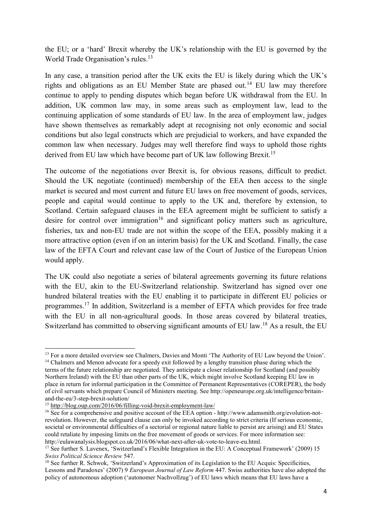the EU; or a 'hard' Brexit whereby the UK's relationship with the EU is governed by the World Trade Organisation's rules. 13

In any case, a transition period after the UK exits the EU is likely during which the UK's rights and obligations as an EU Member State are phased out.<sup>14</sup> EU law may therefore continue to apply to pending disputes which began before UK withdrawal from the EU. In addition, UK common law may, in some areas such as employment law, lead to the continuing application of some standards of EU law. In the area of employment law, judges have shown themselves as remarkably adept at recognising not only economic and social conditions but also legal constructs which are prejudicial to workers, and have expanded the common law when necessary. Judges may well therefore find ways to uphold those rights derived from EU law which have become part of UK law following Brexit.<sup>15</sup>

The outcome of the negotiations over Brexit is, for obvious reasons, difficult to predict. Should the UK negotiate (continued) membership of the EEA then access to the single market is secured and most current and future EU laws on free movement of goods, services, people and capital would continue to apply to the UK and, therefore by extension, to Scotland. Certain safeguard clauses in the EEA agreement might be sufficient to satisfy a desire for control over immigration<sup>16</sup> and significant policy matters such as agriculture, fisheries, tax and non-EU trade are not within the scope of the EEA, possibly making it a more attractive option (even if on an interim basis) for the UK and Scotland. Finally, the case law of the EFTA Court and relevant case law of the Court of Justice of the European Union would apply.

The UK could also negotiate a series of bilateral agreements governing its future relations with the EU, akin to the EU-Switzerland relationship. Switzerland has signed over one hundred bilateral treaties with the EU enabling it to participate in different EU policies or programmes.<sup>17</sup> In addition, Switzerland is a member of EFTA which provides for free trade with the EU in all non-agricultural goods. In those areas covered by bilateral treaties, Switzerland has committed to observing significant amounts of EU law.<sup>18</sup> As a result, the EU

<sup>1</sup> <sup>13</sup> For a more detailed overview see Chalmers, Davies and Monti 'The Authority of EU Law beyond the Union'. <sup>14</sup> Chalmers and Menon advocate for a speedy exit followed by a lengthy transition phase during which the terms of the future relationship are negotiated. They anticipate a closer relationship for Scotland (and possibly Northern Ireland) with the EU than other parts of the UK, which might involve Scotland keeping EU law in place in return for informal participation in the Committee of Permanent Representatives (COREPER), the body of civil servants which prepare Council of Ministers meeting. See http://openeurope.org.uk/intelligence/britainand-the-eu/3-step-brexit-solution/

<sup>15</sup> <http://blog.oup.com/2016/06/filling-void-brexit-employment-law/>

<sup>&</sup>lt;sup>16</sup> See for a comprehensive and positive account of the EEA option - [http://www.adamsmith.org/evolution-not](http://www.adamsmith.org/evolution-not-revolution)[revolution.](http://www.adamsmith.org/evolution-not-revolution) However, the safeguard clause can only be invoked according to strict criteria (If serious economic, societal or environmental difficulties of a sectorial or regional nature liable to persist are arising) and EU States could retaliate by imposing limits on the free movement of goods or services. For more information see: [http://eulawanalysis.blogspot.co.uk/2016/06/what-next-after-uk-vote-to-leave-eu.html.](http://eulawanalysis.blogspot.co.uk/2016/06/what-next-after-uk-vote-to-leave-eu.html)

<sup>&</sup>lt;sup>17</sup> See further S. Lavenex, 'Switzerland's Flexible Integration in the EU: A Conceptual Framework' (2009) 15 *Swiss Political Science Review* 547.

<sup>&</sup>lt;sup>18</sup> See further R. Schwok, 'Switzerland's Approximation of its Legislation to the EU Acquis: Specificities, Lessons and Paradoxes' (2007) 9 *European Journal of Law Reform* 447. Swiss authorities have also adopted the policy of autonomous adoption ('autonomer Nachvollzug') of EU laws which means that EU laws have a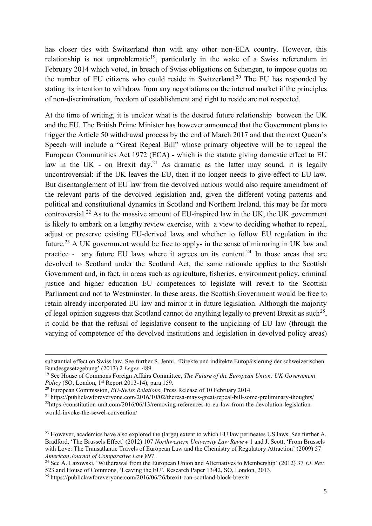has closer ties with Switzerland than with any other non-EEA country. However, this relationship is not unproblematic<sup>19</sup>, particularly in the wake of a Swiss referendum in February 2014 which voted, in breach of Swiss obligations on Schengen, to impose quotas on the number of EU citizens who could reside in Switzerland. <sup>20</sup> The EU has responded by stating its intention to withdraw from any negotiations on the internal market if the principles of non-discrimination, freedom of establishment and right to reside are not respected.

At the time of writing, it is unclear what is the desired future relationship between the UK and the EU. The British Prime Minister has however announced that the Government plans to trigger the Article 50 withdrawal process by the end of March 2017 and that the next Queen's Speech will include a "Great Repeal Bill" whose primary objective will be to repeal the European Communities Act 1972 (ECA) - which is the statute giving domestic effect to EU law in the UK - on Brexit day.<sup>21</sup> As dramatic as the latter may sound, it is legally uncontroversial: if the UK leaves the EU, then it no longer needs to give effect to EU law. But disentanglement of EU law from the devolved nations would also require amendment of the relevant parts of the devolved legislation and, given the different voting patterns and political and constitutional dynamics in Scotland and Northern Ireland, this may be far more controversial. <sup>22</sup> As to the massive amount of EU-inspired law in the UK, the UK government is likely to embark on a lengthy review exercise, with a view to deciding whether to repeal, adjust or preserve existing EU-derived laws and whether to follow EU regulation in the future.<sup>23</sup> A UK government would be free to apply- in the sense of mirroring in UK law and practice - any future EU laws where it agrees on its content.<sup>24</sup> In those areas that are devolved to Scotland under the Scotland Act, the same rationale applies to the Scottish Government and, in fact, in areas such as agriculture, fisheries, environment policy, criminal justice and higher education EU competences to legislate will revert to the Scottish Parliament and not to Westminster. In these areas, the Scottish Government would be free to retain already incorporated EU law and mirror it in future legislation. Although the majority of legal opinion suggests that Scotland cannot do anything legally to prevent Brexit as such<sup>25</sup>, it could be that the refusal of legislative consent to the unpicking of EU law (through the varying of competence of the devolved institutions and legislation in devolved policy areas)

**.** 

substantial effect on Swiss law. See further S. Jenni, 'Direkte und indirekte Europäisierung der schweizerischen Bundesgesetzgebung' (2013) 2 *Leges* 489.

<sup>19</sup> See House of Commons Foreign Affairs Committee, *The Future of the European Union: UK Government Policy* (SO, London, 1<sup>st</sup> Report 2013-14), para 159.

<sup>20</sup> European Commission, *EU-Swiss Relations*, Press Release of 10 February 2014.

<sup>21</sup> <https://publiclawforeveryone.com/2016/10/02/theresa-mays-great-repeal-bill-some-preliminary-thoughts/> 22[https://constitution-unit.com/2016/06/13/removing-references-to-eu-law-from-the-devolution-legislation](https://constitution-unit.com/2016/06/13/removing-references-to-eu-law-from-the-devolution-legislation-would-invoke-the-sewel-convention/)[would-invoke-the-sewel-convention/](https://constitution-unit.com/2016/06/13/removing-references-to-eu-law-from-the-devolution-legislation-would-invoke-the-sewel-convention/)

<sup>&</sup>lt;sup>23</sup> However, academics have also explored the (large) extent to which EU law permeates US laws. See further A. Bradford, 'The Brussels Effect' (2012) 107 *Northwestern University Law Review* 1 and J. Scott, 'From Brussels with Love: The Transatlantic Travels of European Law and the Chemistry of Regulatory Attraction' (2009) 57 *American Journal of Comparative Law* 897.

<sup>24</sup> See A. Lazowski, 'Withdrawal from the European Union and Alternatives to Membership' (2012) 37 *EL Rev.*  523 and House of Commons, 'Leaving the EU', Research Paper 13/42, SO, London, 2013.

<sup>25</sup> https://publiclawforeveryone.com/2016/06/26/brexit-can-scotland-block-brexit/